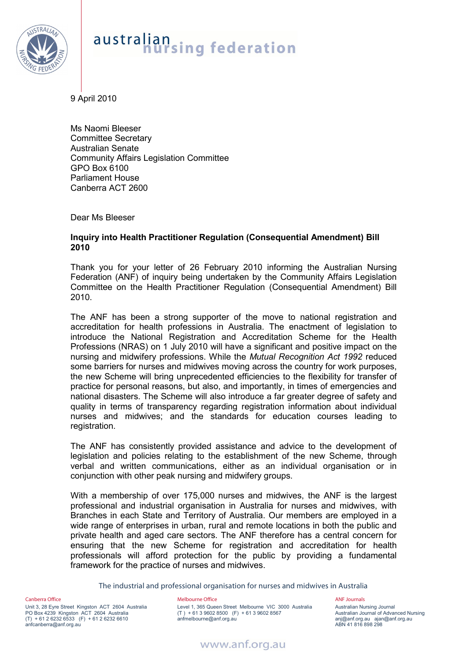

## australian<br>nursing federation

9 April 2010

Ms Naomi Bleeser Committee Secretary Australian Senate Community Affairs Legislation Committee GPO Box 6100 Parliament House Canberra ACT 2600

Dear Ms Bleeser

## **Inquiry into Health Practitioner Regulation (Consequential Amendment) Bill 2010**

Thank you for your letter of 26 February 2010 informing the Australian Nursing Federation (ANF) of inquiry being undertaken by the Community Affairs Legislation Committee on the Health Practitioner Regulation (Consequential Amendment) Bill 2010.

The ANF has been a strong supporter of the move to national registration and accreditation for health professions in Australia. The enactment of legislation to introduce the National Registration and Accreditation Scheme for the Health Professions (NRAS) on 1 July 2010 will have a significant and positive impact on the nursing and midwifery professions. While the *Mutual Recognition Act 1992* reduced some barriers for nurses and midwives moving across the country for work purposes, the new Scheme will bring unprecedented efficiencies to the flexibility for transfer of practice for personal reasons, but also, and importantly, in times of emergencies and national disasters. The Scheme will also introduce a far greater degree of safety and quality in terms of transparency regarding registration information about individual nurses and midwives; and the standards for education courses leading to registration.

The ANF has consistently provided assistance and advice to the development of legislation and policies relating to the establishment of the new Scheme, through verbal and written communications, either as an individual organisation or in conjunction with other peak nursing and midwifery groups.

With a membership of over 175,000 nurses and midwives, the ANF is the largest professional and industrial organisation in Australia for nurses and midwives, with Branches in each State and Territory of Australia. Our members are employed in a wide range of enterprises in urban, rural and remote locations in both the public and private health and aged care sectors. The ANF therefore has a central concern for ensuring that the new Scheme for registration and accreditation for health professionals will afford protection for the public by providing a fundamental framework for the practice of nurses and midwives.

The industrial and professional organisation for nurses and midwives in Australia

Canberra Office

Unit 3, 28 Eyre Street Kingston ACT 2604 Australia PO Box 4239 Kingston ACT 2604 Australia (T) + 61 2 6232 6533 (F) + 61 2 6232 6610 anfcanberra@anf.org.au

### Melbourne Office

Level 1, 365 Queen Street Melbourne VIC 3000 Australia (T ) + 61 3 9602 8500 (F) + 61 3 9602 8567 anfmelbourne@anf.org.au

### ANF Journals

Australian Nursing Journal Australian Journal of Advanced Nursing anj@anf.org.au ajan@anf.org.au ABN 41 816 898 298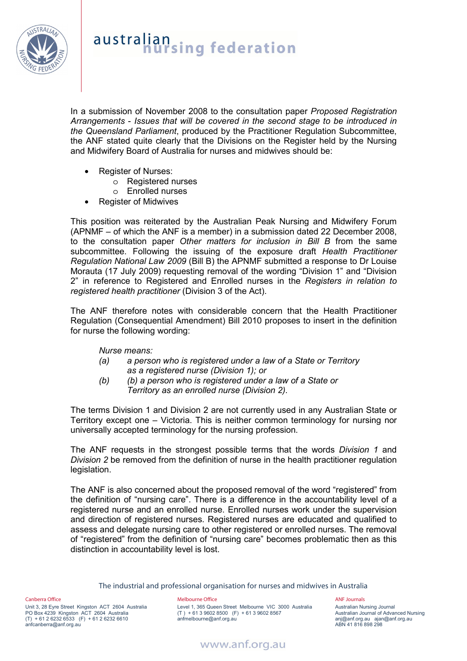

# australian<br>**hursing** federation

In a submission of November 2008 to the consultation paper *Proposed Registration Arrangements* - *Issues that will be covered in the second stage to be introduced in the Queensland Parliament*, produced by the Practitioner Regulation Subcommittee, the ANF stated quite clearly that the Divisions on the Register held by the Nursing and Midwifery Board of Australia for nurses and midwives should be:

- Register of Nurses:
	- o Registered nurses
	- o Enrolled nurses
- Register of Midwives

This position was reiterated by the Australian Peak Nursing and Midwifery Forum (APNMF – of which the ANF is a member) in a submission dated 22 December 2008, to the consultation paper *Other matters for inclusion in Bill B* from the same subcommittee. Following the issuing of the exposure draft *Health Practitioner Regulation National Law 2009* (Bill B) the APNMF submitted a response to Dr Louise Morauta (17 July 2009) requesting removal of the wording "Division 1" and "Division 2" in reference to Registered and Enrolled nurses in the *Registers in relation to registered health practitioner* (Division 3 of the Act).

The ANF therefore notes with considerable concern that the Health Practitioner Regulation (Consequential Amendment) Bill 2010 proposes to insert in the definition for nurse the following wording:

## *Nurse means:*

- *(a) a person who is registered under a law of a State or Territory as a registered nurse (Division 1); or*
- *(b) (b) a person who is registered under a law of a State or Territory as an enrolled nurse (Division 2).*

The terms Division 1 and Division 2 are not currently used in any Australian State or Territory except one – Victoria. This is neither common terminology for nursing nor universally accepted terminology for the nursing profession.

The ANF requests in the strongest possible terms that the words *Division 1* and *Division 2* be removed from the definition of nurse in the health practitioner regulation legislation.

The ANF is also concerned about the proposed removal of the word "registered" from the definition of "nursing care". There is a difference in the accountability level of a registered nurse and an enrolled nurse. Enrolled nurses work under the supervision and direction of registered nurses. Registered nurses are educated and qualified to assess and delegate nursing care to other registered or enrolled nurses. The removal of "registered" from the definition of "nursing care" becomes problematic then as this distinction in accountability level is lost.

The industrial and professional organisation for nurses and midwives in Australia

Canberra Office

Unit 3, 28 Eyre Street Kingston ACT 2604 Australia PO Box 4239 Kingston ACT 2604 Australia (T) + 61 2 6232 6533 (F) + 61 2 6232 6610 anfcanberra@anf.org.au

### Melbourne Office

Level 1, 365 Queen Street Melbourne VIC 3000 Australia (T ) + 61 3 9602 8500 (F) + 61 3 9602 8567 anfmelbourne@anf.org.au

ANF Journals Australian Nursing Journal Australian Journal of Advanced Nursing anj@anf.org.au ajan@anf.org.au ABN 41 816 898 298